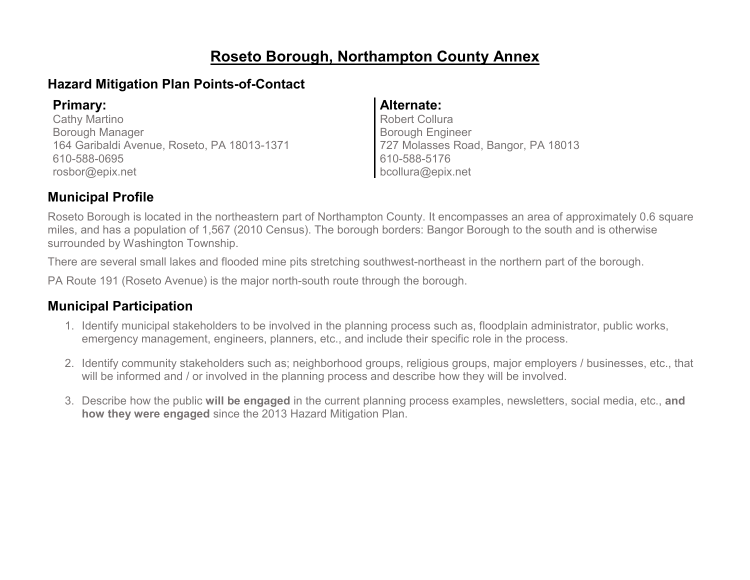### **Roseto Borough, Northampton County Annex**

### **Hazard Mitigation Plan Points-of-Contact**

Cathy Martino Borough Manager 164 Garibaldi Avenue, Roseto, PA 18013-1371 610-588-0695 rosbor@epix.net

### **Primary: Alternate:**

Robert Collura Borough Engineer 727 Molasses Road, Bangor, PA 18013 610-588-5176 bcollura@epix.net

### **Municipal Profile**

Roseto Borough is located in the northeastern part of Northampton County. It encompasses an area of approximately 0.6 square miles, and has a population of 1,567 (2010 Census). The borough borders: Bangor Borough to the south and is otherwise surrounded by Washington Township.

There are several small lakes and flooded mine pits stretching southwest-northeast in the northern part of the borough.

PA Route 191 (Roseto Avenue) is the major north-south route through the borough.

### **Municipal Participation**

- 1. Identify municipal stakeholders to be involved in the planning process such as, floodplain administrator, public works, emergency management, engineers, planners, etc., and include their specific role in the process.
- 2. Identify community stakeholders such as; neighborhood groups, religious groups, major employers / businesses, etc., that will be informed and / or involved in the planning process and describe how they will be involved.
- 3. Describe how the public **will be engaged** in the current planning process examples, newsletters, social media, etc., **and how they were engaged** since the 2013 Hazard Mitigation Plan.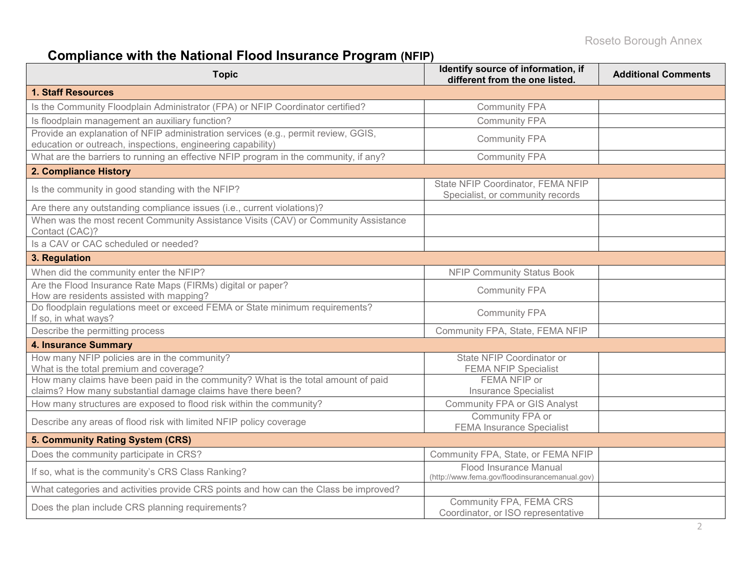# **Compliance with the National Flood Insurance Program (NFIP)**

| <b>Topic</b>                                                                                                                                      | Identify source of information, if<br>different from the one listed.     | <b>Additional Comments</b> |
|---------------------------------------------------------------------------------------------------------------------------------------------------|--------------------------------------------------------------------------|----------------------------|
| <b>1. Staff Resources</b>                                                                                                                         |                                                                          |                            |
| Is the Community Floodplain Administrator (FPA) or NFIP Coordinator certified?                                                                    | <b>Community FPA</b>                                                     |                            |
| Is floodplain management an auxiliary function?                                                                                                   | <b>Community FPA</b>                                                     |                            |
| Provide an explanation of NFIP administration services (e.g., permit review, GGIS,<br>education or outreach, inspections, engineering capability) | <b>Community FPA</b>                                                     |                            |
| What are the barriers to running an effective NFIP program in the community, if any?                                                              | <b>Community FPA</b>                                                     |                            |
| 2. Compliance History                                                                                                                             |                                                                          |                            |
| Is the community in good standing with the NFIP?                                                                                                  | State NFIP Coordinator, FEMA NFIP<br>Specialist, or community records    |                            |
| Are there any outstanding compliance issues (i.e., current violations)?                                                                           |                                                                          |                            |
| When was the most recent Community Assistance Visits (CAV) or Community Assistance<br>Contact (CAC)?                                              |                                                                          |                            |
| Is a CAV or CAC scheduled or needed?                                                                                                              |                                                                          |                            |
| 3. Regulation                                                                                                                                     |                                                                          |                            |
| When did the community enter the NFIP?                                                                                                            | <b>NFIP Community Status Book</b>                                        |                            |
| Are the Flood Insurance Rate Maps (FIRMs) digital or paper?<br>How are residents assisted with mapping?                                           | <b>Community FPA</b>                                                     |                            |
| Do floodplain regulations meet or exceed FEMA or State minimum requirements?<br>If so, in what ways?                                              | <b>Community FPA</b>                                                     |                            |
| Describe the permitting process                                                                                                                   | Community FPA, State, FEMA NFIP                                          |                            |
| <b>4. Insurance Summary</b>                                                                                                                       |                                                                          |                            |
| How many NFIP policies are in the community?<br>What is the total premium and coverage?                                                           | State NFIP Coordinator or<br><b>FEMA NFIP Specialist</b>                 |                            |
| How many claims have been paid in the community? What is the total amount of paid<br>claims? How many substantial damage claims have there been?  | FEMA NFIP or<br><b>Insurance Specialist</b>                              |                            |
| How many structures are exposed to flood risk within the community?                                                                               | <b>Community FPA or GIS Analyst</b>                                      |                            |
| Describe any areas of flood risk with limited NFIP policy coverage                                                                                | Community FPA or<br><b>FEMA Insurance Specialist</b>                     |                            |
| 5. Community Rating System (CRS)                                                                                                                  |                                                                          |                            |
| Does the community participate in CRS?                                                                                                            | Community FPA, State, or FEMA NFIP                                       |                            |
| If so, what is the community's CRS Class Ranking?                                                                                                 | Flood Insurance Manual<br>(http://www.fema.gov/floodinsurancemanual.gov) |                            |
| What categories and activities provide CRS points and how can the Class be improved?                                                              |                                                                          |                            |
| Does the plan include CRS planning requirements?                                                                                                  | Community FPA, FEMA CRS<br>Coordinator, or ISO representative            |                            |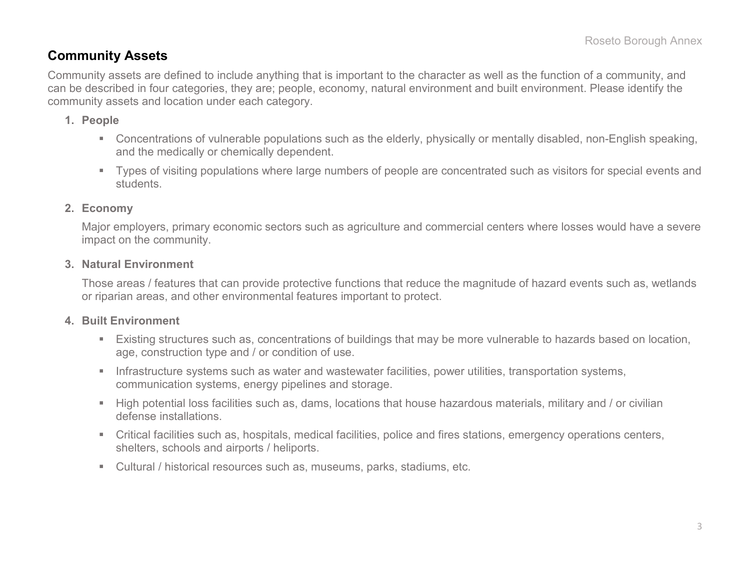### **Community Assets**

Community assets are defined to include anything that is important to the character as well as the function of a community, and can be described in four categories, they are; people, economy, natural environment and built environment. Please identify the community assets and location under each category.

#### **1. People**

- Concentrations of vulnerable populations such as the elderly, physically or mentally disabled, non-English speaking, and the medically or chemically dependent.
- Types of visiting populations where large numbers of people are concentrated such as visitors for special events and students.

#### **2. Economy**

Major employers, primary economic sectors such as agriculture and commercial centers where losses would have a severe impact on the community.

#### **3. Natural Environment**

Those areas / features that can provide protective functions that reduce the magnitude of hazard events such as, wetlands or riparian areas, and other environmental features important to protect.

#### **4. Built Environment**

- Existing structures such as, concentrations of buildings that may be more vulnerable to hazards based on location, age, construction type and / or condition of use.
- **Infrastructure systems such as water and wastewater facilities, power utilities, transportation systems,** communication systems, energy pipelines and storage.
- High potential loss facilities such as, dams, locations that house hazardous materials, military and / or civilian defense installations.
- Critical facilities such as, hospitals, medical facilities, police and fires stations, emergency operations centers, shelters, schools and airports / heliports.
- Cultural / historical resources such as, museums, parks, stadiums, etc.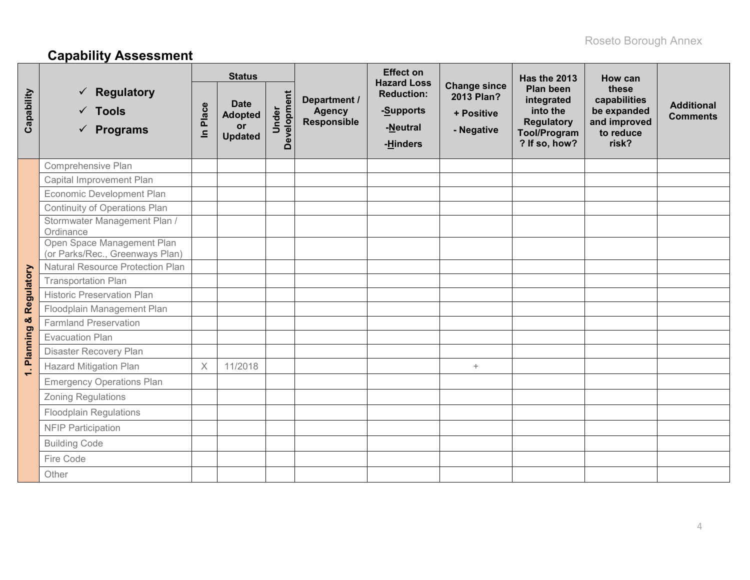# **Capability Assessment**

|                 |                                                                       |                       | <b>Status</b>                                         |                      |                                                     | <b>Effect on</b><br><b>Hazard Loss</b>                 |                                                               | <b>Has the 2013</b>                                                                                     | How can                                                                    |                                      |
|-----------------|-----------------------------------------------------------------------|-----------------------|-------------------------------------------------------|----------------------|-----------------------------------------------------|--------------------------------------------------------|---------------------------------------------------------------|---------------------------------------------------------------------------------------------------------|----------------------------------------------------------------------------|--------------------------------------|
| Capability      | <b>Regulatory</b><br>✓<br>$\checkmark$ Tools<br>$\checkmark$ Programs | Place<br>$\mathbf{a}$ | <b>Date</b><br><b>Adopted</b><br>or<br><b>Updated</b> | Development<br>Under | Department /<br><b>Agency</b><br><b>Responsible</b> | <b>Reduction:</b><br>-Supports<br>-Neutral<br>-Hinders | <b>Change since</b><br>2013 Plan?<br>+ Positive<br>- Negative | <b>Plan been</b><br>integrated<br>into the<br><b>Regulatory</b><br><b>Tool/Program</b><br>? If so, how? | these<br>capabilities<br>be expanded<br>and improved<br>to reduce<br>risk? | <b>Additional</b><br><b>Comments</b> |
|                 | Comprehensive Plan                                                    |                       |                                                       |                      |                                                     |                                                        |                                                               |                                                                                                         |                                                                            |                                      |
|                 | Capital Improvement Plan                                              |                       |                                                       |                      |                                                     |                                                        |                                                               |                                                                                                         |                                                                            |                                      |
|                 | Economic Development Plan                                             |                       |                                                       |                      |                                                     |                                                        |                                                               |                                                                                                         |                                                                            |                                      |
|                 | <b>Continuity of Operations Plan</b>                                  |                       |                                                       |                      |                                                     |                                                        |                                                               |                                                                                                         |                                                                            |                                      |
|                 | Stormwater Management Plan /<br>Ordinance                             |                       |                                                       |                      |                                                     |                                                        |                                                               |                                                                                                         |                                                                            |                                      |
|                 | Open Space Management Plan<br>(or Parks/Rec., Greenways Plan)         |                       |                                                       |                      |                                                     |                                                        |                                                               |                                                                                                         |                                                                            |                                      |
|                 | <b>Natural Resource Protection Plan</b>                               |                       |                                                       |                      |                                                     |                                                        |                                                               |                                                                                                         |                                                                            |                                      |
| Regulatory      | <b>Transportation Plan</b>                                            |                       |                                                       |                      |                                                     |                                                        |                                                               |                                                                                                         |                                                                            |                                      |
|                 | <b>Historic Preservation Plan</b>                                     |                       |                                                       |                      |                                                     |                                                        |                                                               |                                                                                                         |                                                                            |                                      |
|                 | Floodplain Management Plan                                            |                       |                                                       |                      |                                                     |                                                        |                                                               |                                                                                                         |                                                                            |                                      |
| ×               | <b>Farmland Preservation</b>                                          |                       |                                                       |                      |                                                     |                                                        |                                                               |                                                                                                         |                                                                            |                                      |
| <b>Planning</b> | <b>Evacuation Plan</b>                                                |                       |                                                       |                      |                                                     |                                                        |                                                               |                                                                                                         |                                                                            |                                      |
|                 | Disaster Recovery Plan                                                |                       |                                                       |                      |                                                     |                                                        |                                                               |                                                                                                         |                                                                            |                                      |
| $\div$          | <b>Hazard Mitigation Plan</b>                                         | $\times$              | 11/2018                                               |                      |                                                     |                                                        | $+$                                                           |                                                                                                         |                                                                            |                                      |
|                 | <b>Emergency Operations Plan</b>                                      |                       |                                                       |                      |                                                     |                                                        |                                                               |                                                                                                         |                                                                            |                                      |
|                 | <b>Zoning Regulations</b>                                             |                       |                                                       |                      |                                                     |                                                        |                                                               |                                                                                                         |                                                                            |                                      |
|                 | <b>Floodplain Regulations</b>                                         |                       |                                                       |                      |                                                     |                                                        |                                                               |                                                                                                         |                                                                            |                                      |
|                 | <b>NFIP Participation</b>                                             |                       |                                                       |                      |                                                     |                                                        |                                                               |                                                                                                         |                                                                            |                                      |
|                 | <b>Building Code</b>                                                  |                       |                                                       |                      |                                                     |                                                        |                                                               |                                                                                                         |                                                                            |                                      |
|                 | Fire Code                                                             |                       |                                                       |                      |                                                     |                                                        |                                                               |                                                                                                         |                                                                            |                                      |
|                 | Other                                                                 |                       |                                                       |                      |                                                     |                                                        |                                                               |                                                                                                         |                                                                            |                                      |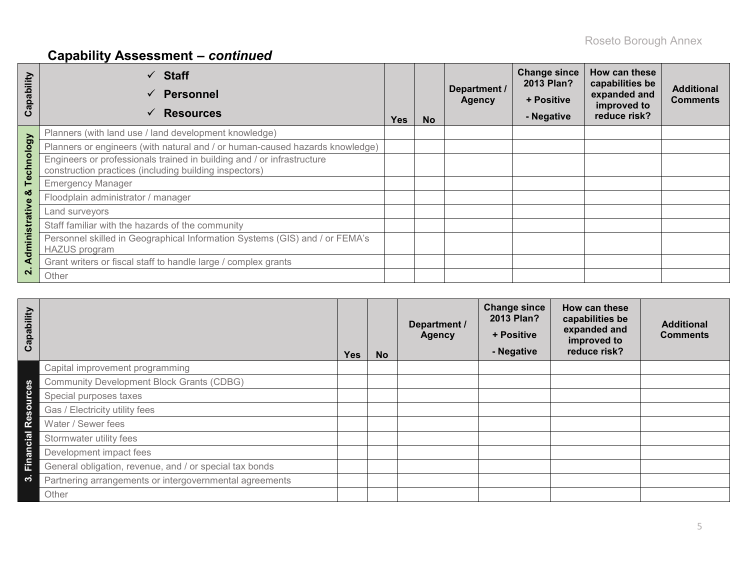# **Capability Assessment –** *continued*

| Capability     | $\checkmark$ Staff<br><b>Personnel</b><br>$\checkmark$<br><b>Resources</b>                                                       | <b>Yes</b> | <b>No</b> | Department /<br><b>Agency</b> | <b>Change since</b><br>2013 Plan?<br>+ Positive<br>- Negative | How can these<br>capabilities be<br>expanded and<br>improved to<br>reduce risk? | <b>Additional</b><br><b>Comments</b> |
|----------------|----------------------------------------------------------------------------------------------------------------------------------|------------|-----------|-------------------------------|---------------------------------------------------------------|---------------------------------------------------------------------------------|--------------------------------------|
|                | Planners (with land use / land development knowledge)                                                                            |            |           |                               |                                                               |                                                                                 |                                      |
|                | Planners or engineers (with natural and / or human-caused hazards knowledge)                                                     |            |           |                               |                                                               |                                                                                 |                                      |
| Technology     | Engineers or professionals trained in building and / or infrastructure<br>construction practices (including building inspectors) |            |           |                               |                                                               |                                                                                 |                                      |
|                | <b>Emergency Manager</b>                                                                                                         |            |           |                               |                                                               |                                                                                 |                                      |
| ೲ              | Floodplain administrator / manager                                                                                               |            |           |                               |                                                               |                                                                                 |                                      |
|                | Land surveyors                                                                                                                   |            |           |                               |                                                               |                                                                                 |                                      |
|                | Staff familiar with the hazards of the community                                                                                 |            |           |                               |                                                               |                                                                                 |                                      |
| Administrative | Personnel skilled in Geographical Information Systems (GIS) and / or FEMA's<br><b>HAZUS</b> program                              |            |           |                               |                                                               |                                                                                 |                                      |
|                | Grant writers or fiscal staff to handle large / complex grants                                                                   |            |           |                               |                                                               |                                                                                 |                                      |
| $\mathbf{N}$   | Other                                                                                                                            |            |           |                               |                                                               |                                                                                 |                                      |

| Capability |                                                         | <b>Yes</b> | <b>No</b> | Department /<br><b>Agency</b> | <b>Change since</b><br>2013 Plan?<br>+ Positive<br>- Negative | How can these<br>capabilities be<br>expanded and<br>improved to<br>reduce risk? | <b>Additional</b><br><b>Comments</b> |
|------------|---------------------------------------------------------|------------|-----------|-------------------------------|---------------------------------------------------------------|---------------------------------------------------------------------------------|--------------------------------------|
|            | Capital improvement programming                         |            |           |                               |                                                               |                                                                                 |                                      |
| 89         | <b>Community Development Block Grants (CDBG)</b>        |            |           |                               |                                                               |                                                                                 |                                      |
| ourc       | Special purposes taxes                                  |            |           |                               |                                                               |                                                                                 |                                      |
| Ō,         | Gas / Electricity utility fees                          |            |           |                               |                                                               |                                                                                 |                                      |
| قع<br>R    | Water / Sewer fees                                      |            |           |                               |                                                               |                                                                                 |                                      |
| cial       | Stormwater utility fees                                 |            |           |                               |                                                               |                                                                                 |                                      |
| Finano     | Development impact fees                                 |            |           |                               |                                                               |                                                                                 |                                      |
|            | General obligation, revenue, and / or special tax bonds |            |           |                               |                                                               |                                                                                 |                                      |
| ო          | Partnering arrangements or intergovernmental agreements |            |           |                               |                                                               |                                                                                 |                                      |
|            | Other                                                   |            |           |                               |                                                               |                                                                                 |                                      |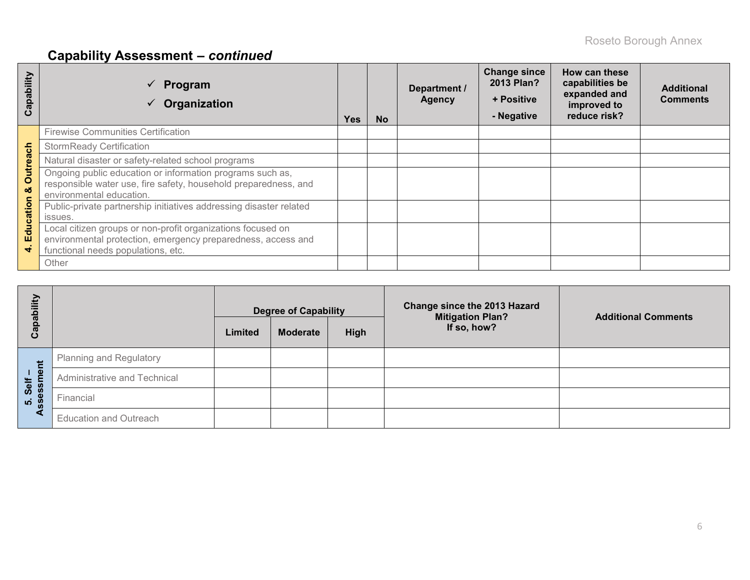# **Capability Assessment –** *continued*

| apability<br>ပ       | Program<br>Organization                                                                                                                                           | Yes | <b>No</b> | Department /<br><b>Agency</b> | <b>Change since</b><br>2013 Plan?<br>+ Positive<br>- Negative | How can these<br>capabilities be<br>expanded and<br>improved to<br>reduce risk? | <b>Additional</b><br><b>Comments</b> |
|----------------------|-------------------------------------------------------------------------------------------------------------------------------------------------------------------|-----|-----------|-------------------------------|---------------------------------------------------------------|---------------------------------------------------------------------------------|--------------------------------------|
|                      | <b>Firewise Communities Certification</b>                                                                                                                         |     |           |                               |                                                               |                                                                                 |                                      |
|                      | <b>StormReady Certification</b>                                                                                                                                   |     |           |                               |                                                               |                                                                                 |                                      |
|                      | Natural disaster or safety-related school programs                                                                                                                |     |           |                               |                                                               |                                                                                 |                                      |
| <b>Outreach</b><br>ಠ | Ongoing public education or information programs such as,<br>responsible water use, fire safety, household preparedness, and<br>environmental education.          |     |           |                               |                                                               |                                                                                 |                                      |
| Education            | Public-private partnership initiatives addressing disaster related<br>issues.                                                                                     |     |           |                               |                                                               |                                                                                 |                                      |
|                      | Local citizen groups or non-profit organizations focused on<br>environmental protection, emergency preparedness, access and<br>functional needs populations, etc. |     |           |                               |                                                               |                                                                                 |                                      |
|                      | Other                                                                                                                                                             |     |           |                               |                                                               |                                                                                 |                                      |

| Capability          |                                | Limited | <b>Degree of Capability</b><br><b>Moderate</b> | High | Change since the 2013 Hazard<br><b>Mitigation Plan?</b><br>If so, how? | <b>Additional Comments</b> |
|---------------------|--------------------------------|---------|------------------------------------------------|------|------------------------------------------------------------------------|----------------------------|
| せ                   | <b>Planning and Regulatory</b> |         |                                                |      |                                                                        |                            |
| 1 <b>g</b><br>Self  | Administrative and Technical   |         |                                                |      |                                                                        |                            |
| က<br>၁<br><b>10</b> | Financial                      |         |                                                |      |                                                                        |                            |
| ⋖                   | <b>Education and Outreach</b>  |         |                                                |      |                                                                        |                            |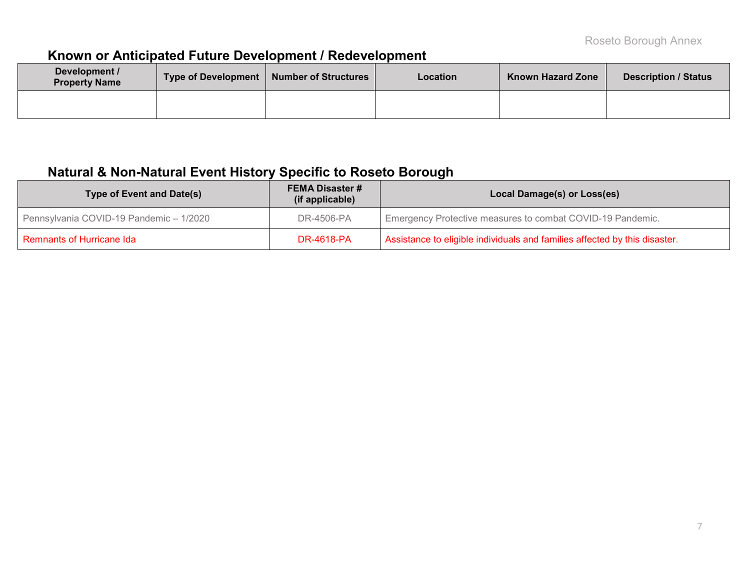### **Known or Anticipated Future Development / Redevelopment**

| Development /<br><b>Property Name</b> | Type of Development   Number of Structures | Location | <b>Known Hazard Zone</b> | <b>Description / Status</b> |
|---------------------------------------|--------------------------------------------|----------|--------------------------|-----------------------------|
|                                       |                                            |          |                          |                             |

### **Natural & Non-Natural Event History Specific to Roseto Borough**

| Type of Event and Date(s)               | <b>FEMA Disaster #</b><br>(if applicable) | Local Damage(s) or Loss(es)                                                |  |  |  |  |  |
|-----------------------------------------|-------------------------------------------|----------------------------------------------------------------------------|--|--|--|--|--|
| Pennsylvania COVID-19 Pandemic - 1/2020 | DR-4506-PA                                | Emergency Protective measures to combat COVID-19 Pandemic.                 |  |  |  |  |  |
| Remnants of Hurricane Ida               | DR-4618-PA                                | Assistance to eligible individuals and families affected by this disaster. |  |  |  |  |  |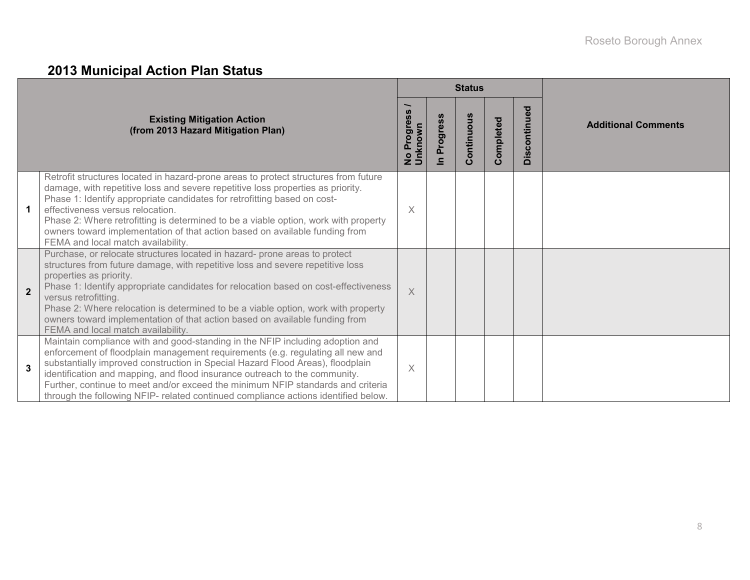## **2013 Municipal Action Plan Status**

|                |                                                                                                                                                                                                                                                                                                                                                                                                                                                                                                                  |                                             |                 | <b>Status</b> |           |              |                            |  |  |
|----------------|------------------------------------------------------------------------------------------------------------------------------------------------------------------------------------------------------------------------------------------------------------------------------------------------------------------------------------------------------------------------------------------------------------------------------------------------------------------------------------------------------------------|---------------------------------------------|-----------------|---------------|-----------|--------------|----------------------------|--|--|
|                | <b>Existing Mitigation Action</b><br>(from 2013 Hazard Mitigation Plan)                                                                                                                                                                                                                                                                                                                                                                                                                                          | <b>S</b><br>Progress<br>No Prog.<br>Unknown | <b>Progress</b> | ontinuous     | Completed | Discontinued | <b>Additional Comments</b> |  |  |
|                | Retrofit structures located in hazard-prone areas to protect structures from future<br>damage, with repetitive loss and severe repetitive loss properties as priority.<br>Phase 1: Identify appropriate candidates for retrofitting based on cost-<br>effectiveness versus relocation.<br>Phase 2: Where retrofitting is determined to be a viable option, work with property<br>owners toward implementation of that action based on available funding from<br>FEMA and local match availability.               | $\times$                                    |                 |               |           |              |                            |  |  |
| $\overline{2}$ | Purchase, or relocate structures located in hazard- prone areas to protect<br>structures from future damage, with repetitive loss and severe repetitive loss<br>properties as priority.<br>Phase 1: Identify appropriate candidates for relocation based on cost-effectiveness<br>versus retrofitting.<br>Phase 2: Where relocation is determined to be a viable option, work with property<br>owners toward implementation of that action based on available funding from<br>FEMA and local match availability. | $\times$                                    |                 |               |           |              |                            |  |  |
| $\mathbf 3$    | Maintain compliance with and good-standing in the NFIP including adoption and<br>enforcement of floodplain management requirements (e.g. regulating all new and<br>substantially improved construction in Special Hazard Flood Areas), floodplain<br>identification and mapping, and flood insurance outreach to the community.<br>Further, continue to meet and/or exceed the minimum NFIP standards and criteria<br>through the following NFIP- related continued compliance actions identified below.         | $\times$                                    |                 |               |           |              |                            |  |  |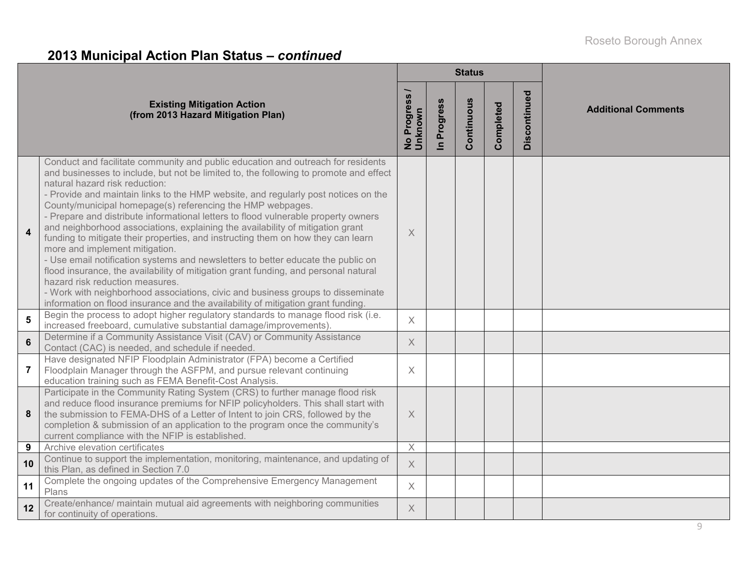### **2013 Municipal Action Plan Status –** *continued*

|                  |                                                                                                                                                                                                                                                                                                                                                                                                                                                                                                                                                                                                                                                                                                                                                                                                                                                                                                                                                                                                                                                    |                          |                      | <b>Status</b> |           |              |                            |
|------------------|----------------------------------------------------------------------------------------------------------------------------------------------------------------------------------------------------------------------------------------------------------------------------------------------------------------------------------------------------------------------------------------------------------------------------------------------------------------------------------------------------------------------------------------------------------------------------------------------------------------------------------------------------------------------------------------------------------------------------------------------------------------------------------------------------------------------------------------------------------------------------------------------------------------------------------------------------------------------------------------------------------------------------------------------------|--------------------------|----------------------|---------------|-----------|--------------|----------------------------|
|                  | <b>Existing Mitigation Action</b><br>(from 2013 Hazard Mitigation Plan)                                                                                                                                                                                                                                                                                                                                                                                                                                                                                                                                                                                                                                                                                                                                                                                                                                                                                                                                                                            | No Progress /<br>Unknown | Progress<br>$\equiv$ | Continuous    | Completed | Discontinued | <b>Additional Comments</b> |
| $\boldsymbol{4}$ | Conduct and facilitate community and public education and outreach for residents<br>and businesses to include, but not be limited to, the following to promote and effect<br>natural hazard risk reduction:<br>- Provide and maintain links to the HMP website, and regularly post notices on the<br>County/municipal homepage(s) referencing the HMP webpages.<br>- Prepare and distribute informational letters to flood vulnerable property owners<br>and neighborhood associations, explaining the availability of mitigation grant<br>funding to mitigate their properties, and instructing them on how they can learn<br>more and implement mitigation.<br>- Use email notification systems and newsletters to better educate the public on<br>flood insurance, the availability of mitigation grant funding, and personal natural<br>hazard risk reduction measures.<br>- Work with neighborhood associations, civic and business groups to disseminate<br>information on flood insurance and the availability of mitigation grant funding. | $\times$                 |                      |               |           |              |                            |
| $5\phantom{1}$   | Begin the process to adopt higher regulatory standards to manage flood risk (i.e.<br>increased freeboard, cumulative substantial damage/improvements).                                                                                                                                                                                                                                                                                                                                                                                                                                                                                                                                                                                                                                                                                                                                                                                                                                                                                             | $\times$                 |                      |               |           |              |                            |
| $6\phantom{a}$   | Determine if a Community Assistance Visit (CAV) or Community Assistance<br>Contact (CAC) is needed, and schedule if needed.                                                                                                                                                                                                                                                                                                                                                                                                                                                                                                                                                                                                                                                                                                                                                                                                                                                                                                                        | $\overline{\mathsf{X}}$  |                      |               |           |              |                            |
| $\overline{7}$   | Have designated NFIP Floodplain Administrator (FPA) become a Certified<br>Floodplain Manager through the ASFPM, and pursue relevant continuing<br>education training such as FEMA Benefit-Cost Analysis.                                                                                                                                                                                                                                                                                                                                                                                                                                                                                                                                                                                                                                                                                                                                                                                                                                           | $\times$                 |                      |               |           |              |                            |
| 8                | Participate in the Community Rating System (CRS) to further manage flood risk<br>and reduce flood insurance premiums for NFIP policyholders. This shall start with<br>the submission to FEMA-DHS of a Letter of Intent to join CRS, followed by the<br>completion & submission of an application to the program once the community's<br>current compliance with the NFIP is established.                                                                                                                                                                                                                                                                                                                                                                                                                                                                                                                                                                                                                                                           | $\times$                 |                      |               |           |              |                            |
| 9                | Archive elevation certificates                                                                                                                                                                                                                                                                                                                                                                                                                                                                                                                                                                                                                                                                                                                                                                                                                                                                                                                                                                                                                     | $\boldsymbol{\times}$    |                      |               |           |              |                            |
| 10               | Continue to support the implementation, monitoring, maintenance, and updating of<br>this Plan, as defined in Section 7.0                                                                                                                                                                                                                                                                                                                                                                                                                                                                                                                                                                                                                                                                                                                                                                                                                                                                                                                           | $\times$                 |                      |               |           |              |                            |
| 11               | Complete the ongoing updates of the Comprehensive Emergency Management<br>Plans                                                                                                                                                                                                                                                                                                                                                                                                                                                                                                                                                                                                                                                                                                                                                                                                                                                                                                                                                                    | $\times$                 |                      |               |           |              |                            |
| 12               | Create/enhance/ maintain mutual aid agreements with neighboring communities<br>for continuity of operations.                                                                                                                                                                                                                                                                                                                                                                                                                                                                                                                                                                                                                                                                                                                                                                                                                                                                                                                                       | $\mathsf X$              |                      |               |           |              |                            |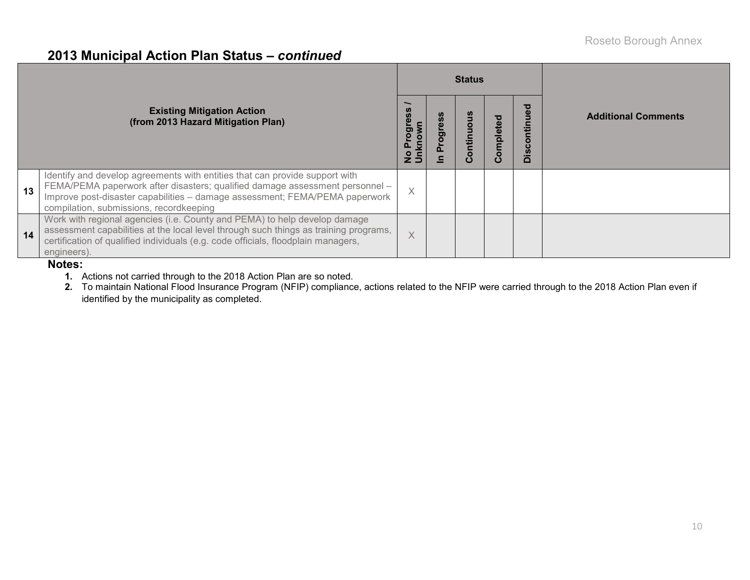### **2013 Municipal Action Plan Status –** *continued*

|    | <b>Existing Mitigation Action</b><br>(from 2013 Hazard Mitigation Plan)                                                                                                                                                                                                               | ogre<br>Ξ | <b>Status</b><br>ontinuo | Completed | o<br>contil<br>ÖİS | <b>Additional Comments</b> |
|----|---------------------------------------------------------------------------------------------------------------------------------------------------------------------------------------------------------------------------------------------------------------------------------------|-----------|--------------------------|-----------|--------------------|----------------------------|
| 13 | Identify and develop agreements with entities that can provide support with<br>FEMA/PEMA paperwork after disasters; qualified damage assessment personnel -<br>Improve post-disaster capabilities - damage assessment; FEMA/PEMA paperwork<br>compilation, submissions, recordkeeping | $\times$  |                          |           |                    |                            |
| 14 | Work with regional agencies (i.e. County and PEMA) to help develop damage<br>assessment capabilities at the local level through such things as training programs,<br>certification of qualified individuals (e.g. code officials, floodplain managers,<br>engineers).                 | $\times$  |                          |           |                    |                            |

#### **Notes:**

**1.** Actions not carried through to the 2018 Action Plan are so noted.

**2.** To maintain National Flood Insurance Program (NFIP) compliance, actions related to the NFIP were carried through to the 2018 Action Plan even if identified by the municipality as completed.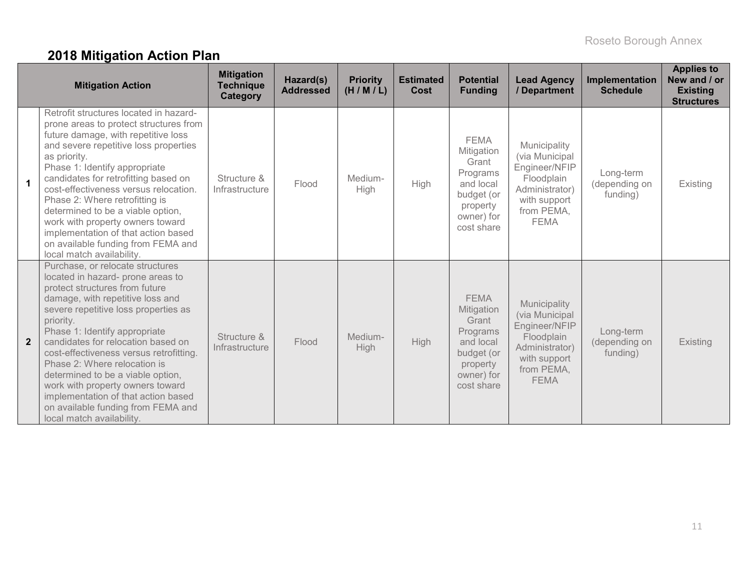# **2018 Mitigation Action Plan**

|                | <b>Mitigation Action</b>                                                                                                                                                                                                                                                                                                                                                                                                                                                                                                              | <b>Mitigation</b><br><b>Technique</b><br>Category | Hazard(s)<br><b>Addressed</b> | <b>Priority</b><br>(H/M/L) | <b>Estimated</b><br>Cost | <b>Potential</b><br><b>Funding</b>                                                                                | <b>Lead Agency</b><br>/ Department                                                                                           | Implementation<br><b>Schedule</b>      | <b>Applies to</b><br>New and / or<br><b>Existing</b><br><b>Structures</b> |
|----------------|---------------------------------------------------------------------------------------------------------------------------------------------------------------------------------------------------------------------------------------------------------------------------------------------------------------------------------------------------------------------------------------------------------------------------------------------------------------------------------------------------------------------------------------|---------------------------------------------------|-------------------------------|----------------------------|--------------------------|-------------------------------------------------------------------------------------------------------------------|------------------------------------------------------------------------------------------------------------------------------|----------------------------------------|---------------------------------------------------------------------------|
| $\overline{1}$ | Retrofit structures located in hazard-<br>prone areas to protect structures from<br>future damage, with repetitive loss<br>and severe repetitive loss properties<br>as priority.<br>Phase 1: Identify appropriate<br>candidates for retrofitting based on<br>cost-effectiveness versus relocation.<br>Phase 2: Where retrofitting is<br>determined to be a viable option,<br>work with property owners toward<br>implementation of that action based<br>on available funding from FEMA and<br>local match availability.               | Structure &<br>Infrastructure                     | Flood                         | Medium-<br>High            | High                     | <b>FEMA</b><br>Mitigation<br>Grant<br>Programs<br>and local<br>budget (or<br>property<br>owner) for<br>cost share | Municipality<br>(via Municipal<br>Engineer/NFIP<br>Floodplain<br>Administrator)<br>with support<br>from PEMA,<br><b>FEMA</b> | Long-term<br>(depending on<br>funding) | Existing                                                                  |
| $\overline{2}$ | Purchase, or relocate structures<br>located in hazard- prone areas to<br>protect structures from future<br>damage, with repetitive loss and<br>severe repetitive loss properties as<br>priority.<br>Phase 1: Identify appropriate<br>candidates for relocation based on<br>cost-effectiveness versus retrofitting.<br>Phase 2: Where relocation is<br>determined to be a viable option,<br>work with property owners toward<br>implementation of that action based<br>on available funding from FEMA and<br>local match availability. | Structure &<br>Infrastructure                     | Flood                         | Medium-<br>High            | <b>High</b>              | <b>FEMA</b><br>Mitigation<br>Grant<br>Programs<br>and local<br>budget (or<br>property<br>owner) for<br>cost share | Municipality<br>(via Municipal<br>Engineer/NFIP<br>Floodplain<br>Administrator)<br>with support<br>from PEMA,<br><b>FEMA</b> | Long-term<br>(depending on<br>funding) | Existing                                                                  |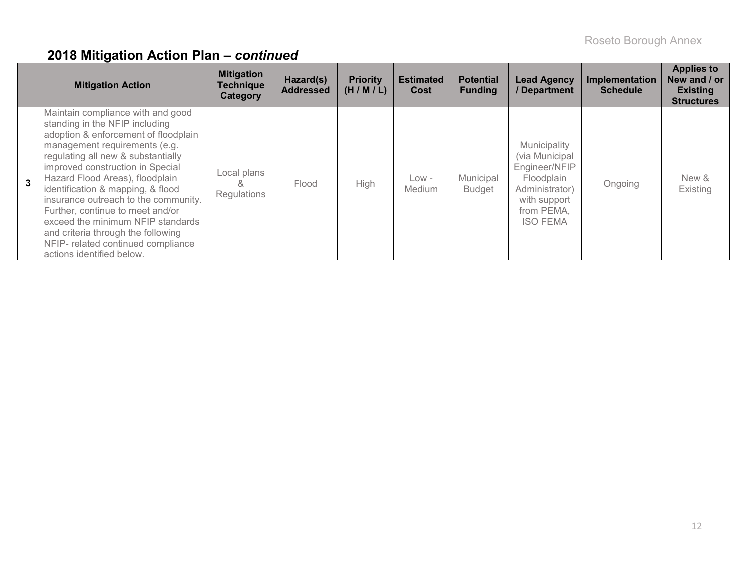|   | <b>Mitigation Action</b>                                                                                                                                                                                                                                                                                                                                                                                                                                                                                                 | <b>Mitigation</b><br><b>Technique</b><br>Category | Hazard(s)<br><b>Addressed</b> | <b>Priority</b><br>(H/M/L) | <b>Estimated</b><br>Cost | <b>Potential</b><br><b>Funding</b> | <b>Lead Agency</b><br>/ Department                                                                                                | <b>Implementation</b><br><b>Schedule</b> | <b>Applies to</b><br>New and / or<br><b>Existing</b><br><b>Structures</b> |
|---|--------------------------------------------------------------------------------------------------------------------------------------------------------------------------------------------------------------------------------------------------------------------------------------------------------------------------------------------------------------------------------------------------------------------------------------------------------------------------------------------------------------------------|---------------------------------------------------|-------------------------------|----------------------------|--------------------------|------------------------------------|-----------------------------------------------------------------------------------------------------------------------------------|------------------------------------------|---------------------------------------------------------------------------|
| 3 | Maintain compliance with and good<br>standing in the NFIP including<br>adoption & enforcement of floodplain<br>management requirements (e.g.<br>regulating all new & substantially<br>improved construction in Special<br>Hazard Flood Areas), floodplain<br>identification & mapping, & flood<br>insurance outreach to the community.<br>Further, continue to meet and/or<br>exceed the minimum NFIP standards<br>and criteria through the following<br>NFIP- related continued compliance<br>actions identified below. | Local plans<br>Regulations                        | Flood                         | <b>High</b>                | $Low -$<br><b>Medium</b> | Municipal<br><b>Budget</b>         | Municipality<br>(via Municipal)<br>Engineer/NFIP<br>Floodplain<br>Administrator)<br>with support<br>from PEMA,<br><b>ISO FEMA</b> | Ongoing                                  | New &<br>Existing                                                         |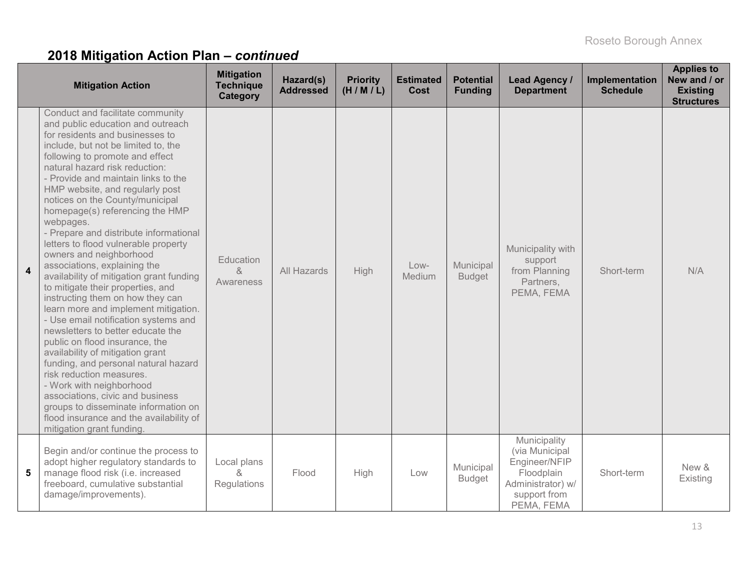|                         | <b>Mitigation Action</b>                                                                                                                                                                                                                                                                                                                                                                                                                                                                                                                                                                                                                                                                                                                                                                                                                                                                                                                                                                                                                                                                           | <b>Mitigation</b><br><b>Technique</b><br>Category | Hazard(s)<br><b>Addressed</b> | <b>Priority</b><br>(H/M/L) | <b>Estimated</b><br><b>Cost</b> | <b>Potential</b><br><b>Funding</b> | Lead Agency /<br><b>Department</b>                                                                               | Implementation<br><b>Schedule</b> | <b>Applies to</b><br>New and / or<br><b>Existing</b><br><b>Structures</b> |
|-------------------------|----------------------------------------------------------------------------------------------------------------------------------------------------------------------------------------------------------------------------------------------------------------------------------------------------------------------------------------------------------------------------------------------------------------------------------------------------------------------------------------------------------------------------------------------------------------------------------------------------------------------------------------------------------------------------------------------------------------------------------------------------------------------------------------------------------------------------------------------------------------------------------------------------------------------------------------------------------------------------------------------------------------------------------------------------------------------------------------------------|---------------------------------------------------|-------------------------------|----------------------------|---------------------------------|------------------------------------|------------------------------------------------------------------------------------------------------------------|-----------------------------------|---------------------------------------------------------------------------|
| $\overline{\mathbf{4}}$ | Conduct and facilitate community<br>and public education and outreach<br>for residents and businesses to<br>include, but not be limited to, the<br>following to promote and effect<br>natural hazard risk reduction:<br>- Provide and maintain links to the<br>HMP website, and regularly post<br>notices on the County/municipal<br>homepage(s) referencing the HMP<br>webpages.<br>- Prepare and distribute informational<br>letters to flood vulnerable property<br>owners and neighborhood<br>associations, explaining the<br>availability of mitigation grant funding<br>to mitigate their properties, and<br>instructing them on how they can<br>learn more and implement mitigation.<br>- Use email notification systems and<br>newsletters to better educate the<br>public on flood insurance, the<br>availability of mitigation grant<br>funding, and personal natural hazard<br>risk reduction measures.<br>- Work with neighborhood<br>associations, civic and business<br>groups to disseminate information on<br>flood insurance and the availability of<br>mitigation grant funding. | Education<br>$\alpha$<br>Awareness                | All Hazards                   | High                       | Low-<br>Medium                  | Municipal<br><b>Budget</b>         | Municipality with<br>support<br>from Planning<br>Partners,<br>PEMA, FEMA                                         | Short-term                        | N/A                                                                       |
| 5                       | Begin and/or continue the process to<br>adopt higher regulatory standards to<br>manage flood risk (i.e. increased<br>freeboard, cumulative substantial<br>damage/improvements).                                                                                                                                                                                                                                                                                                                                                                                                                                                                                                                                                                                                                                                                                                                                                                                                                                                                                                                    | Local plans<br>&<br>Regulations                   | Flood                         | High                       | Low                             | Municipal<br><b>Budget</b>         | Municipality<br>(via Municipal<br>Engineer/NFIP<br>Floodplain<br>Administrator) w/<br>support from<br>PEMA, FEMA | Short-term                        | New &<br>Existing                                                         |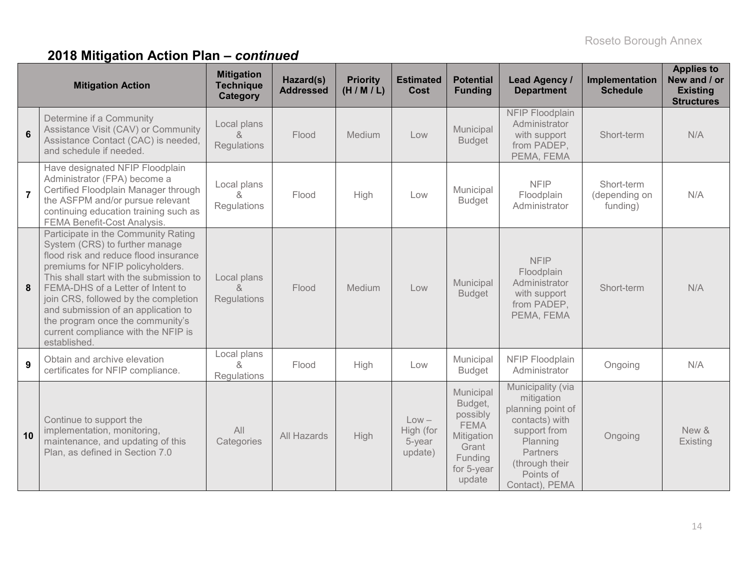|                | <b>Mitigation Action</b>                                                                                                                                                                                                                                                                                                                                                                                     | <b>Mitigation</b><br><b>Technique</b><br>Category        | Hazard(s)<br><b>Addressed</b> | <b>Priority</b><br>(H/M/L) | <b>Estimated</b><br>Cost                  | <b>Potential</b><br><b>Funding</b>                                                                        | <b>Lead Agency /</b><br><b>Department</b>                                                                                                                       | <b>Implementation</b><br><b>Schedule</b> | <b>Applies to</b><br>New and / or<br><b>Existing</b><br><b>Structures</b> |
|----------------|--------------------------------------------------------------------------------------------------------------------------------------------------------------------------------------------------------------------------------------------------------------------------------------------------------------------------------------------------------------------------------------------------------------|----------------------------------------------------------|-------------------------------|----------------------------|-------------------------------------------|-----------------------------------------------------------------------------------------------------------|-----------------------------------------------------------------------------------------------------------------------------------------------------------------|------------------------------------------|---------------------------------------------------------------------------|
| $6\phantom{a}$ | Determine if a Community<br>Assistance Visit (CAV) or Community<br>Assistance Contact (CAC) is needed,<br>and schedule if needed.                                                                                                                                                                                                                                                                            | Local plans<br>$\alpha$<br>Regulations                   | Flood                         | Medium                     | Low                                       | Municipal<br><b>Budget</b>                                                                                | NFIP Floodplain<br>Administrator<br>with support<br>from PADEP,<br>PEMA, FEMA                                                                                   | Short-term                               | N/A                                                                       |
| $\overline{7}$ | Have designated NFIP Floodplain<br>Administrator (FPA) become a<br>Certified Floodplain Manager through<br>the ASFPM and/or pursue relevant<br>continuing education training such as<br><b>FEMA Benefit-Cost Analysis.</b>                                                                                                                                                                                   | Local plans<br>$\mathcal{R}_{\mathbf{z}}$<br>Regulations | Flood                         | High                       | Low                                       | Municipal<br><b>Budget</b>                                                                                | <b>NFIP</b><br>Floodplain<br>Administrator                                                                                                                      | Short-term<br>(depending on<br>funding)  | N/A                                                                       |
| 8              | Participate in the Community Rating<br>System (CRS) to further manage<br>flood risk and reduce flood insurance<br>premiums for NFIP policyholders.<br>This shall start with the submission to<br>FEMA-DHS of a Letter of Intent to<br>join CRS, followed by the completion<br>and submission of an application to<br>the program once the community's<br>current compliance with the NFIP is<br>established. | Local plans<br>$\mathcal{R}_{\mathbf{z}}$<br>Regulations | Flood                         | Medium                     | Low                                       | Municipal<br><b>Budget</b>                                                                                | <b>NFIP</b><br>Floodplain<br>Administrator<br>with support<br>from PADEP,<br>PEMA, FEMA                                                                         | Short-term                               | N/A                                                                       |
| 9              | Obtain and archive elevation<br>certificates for NFIP compliance.                                                                                                                                                                                                                                                                                                                                            | Local plans<br>$\mathcal{R}_{\mathbf{z}}$<br>Regulations | Flood                         | High                       | Low                                       | Municipal<br><b>Budget</b>                                                                                | NFIP Floodplain<br>Administrator                                                                                                                                | Ongoing                                  | N/A                                                                       |
| 10             | Continue to support the<br>implementation, monitoring,<br>maintenance, and updating of this<br>Plan, as defined in Section 7.0                                                                                                                                                                                                                                                                               | All<br>Categories                                        | <b>All Hazards</b>            | High                       | $Low -$<br>High (for<br>5-year<br>update) | Municipal<br>Budget,<br>possibly<br><b>FEMA</b><br>Mitigation<br>Grant<br>Funding<br>for 5-year<br>update | Municipality (via<br>mitigation<br>planning point of<br>contacts) with<br>support from<br>Planning<br>Partners<br>(through their<br>Points of<br>Contact), PEMA | Ongoing                                  | New &<br>Existing                                                         |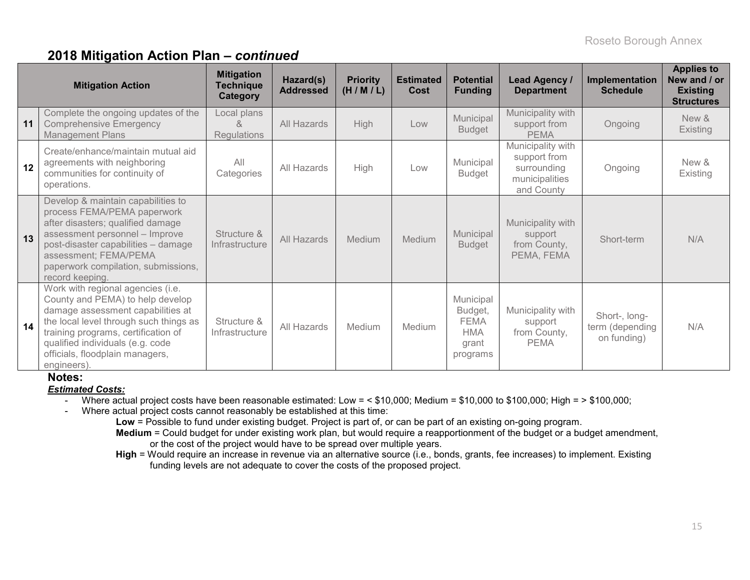|    | <b>Mitigation Action</b>                                                                                                                                                                                                                                                          | <b>Mitigation</b><br><b>Technique</b><br><b>Category</b> | Hazard(s)<br><b>Addressed</b> | <b>Priority</b><br>(H/M/L) | <b>Estimated</b><br>Cost | <b>Potential</b><br><b>Funding</b>                                     | Lead Agency /<br><b>Department</b>                                               | Implementation<br><b>Schedule</b>               | <b>Applies to</b><br>New and / or<br><b>Existing</b><br><b>Structures</b> |
|----|-----------------------------------------------------------------------------------------------------------------------------------------------------------------------------------------------------------------------------------------------------------------------------------|----------------------------------------------------------|-------------------------------|----------------------------|--------------------------|------------------------------------------------------------------------|----------------------------------------------------------------------------------|-------------------------------------------------|---------------------------------------------------------------------------|
| 11 | Complete the ongoing updates of the<br><b>Comprehensive Emergency</b><br><b>Management Plans</b>                                                                                                                                                                                  | Local plans<br>&<br>Regulations                          | All Hazards                   | High                       | Low                      | Municipal<br><b>Budget</b>                                             | Municipality with<br>support from<br><b>PEMA</b>                                 | Ongoing                                         | New &<br>Existing                                                         |
| 12 | Create/enhance/maintain mutual aid<br>agreements with neighboring<br>communities for continuity of<br>operations.                                                                                                                                                                 | All<br>Categories                                        | All Hazards                   | High                       | Low                      | Municipal<br><b>Budget</b>                                             | Municipality with<br>support from<br>surrounding<br>municipalities<br>and County | Ongoing                                         | New &<br>Existing                                                         |
| 13 | Develop & maintain capabilities to<br>process FEMA/PEMA paperwork<br>after disasters; qualified damage<br>assessment personnel - Improve<br>post-disaster capabilities - damage<br>assessment; FEMA/PEMA<br>paperwork compilation, submissions,<br>record keeping.                | Structure &<br>Infrastructure                            | All Hazards                   | Medium                     | Medium                   | Municipal<br><b>Budget</b>                                             | Municipality with<br>support<br>from County,<br>PEMA, FEMA                       | Short-term                                      | N/A                                                                       |
| 14 | Work with regional agencies (i.e.<br>County and PEMA) to help develop<br>damage assessment capabilities at<br>the local level through such things as<br>training programs, certification of<br>qualified individuals (e.g. code<br>officials, floodplain managers,<br>engineers). | Structure &<br>Infrastructure                            | All Hazards                   | Medium                     | Medium                   | Municipal<br>Budget,<br><b>FEMA</b><br><b>HMA</b><br>grant<br>programs | Municipality with<br>support<br>from County,<br><b>PEMA</b>                      | Short-, long-<br>term (depending<br>on funding) | N/A                                                                       |

#### **Notes:**

#### *Estimated Costs:*

- Where actual project costs have been reasonable estimated: Low = < \$10,000; Medium = \$10,000 to \$100,000; High = > \$100,000;
- Where actual project costs cannot reasonably be established at this time:
	- **Low** = Possible to fund under existing budget. Project is part of, or can be part of an existing on-going program.
	- **Medium** = Could budget for under existing work plan, but would require a reapportionment of the budget or a budget amendment, or the cost of the project would have to be spread over multiple years.
	- **High** = Would require an increase in revenue via an alternative source (i.e., bonds, grants, fee increases) to implement. Existing funding levels are not adequate to cover the costs of the proposed project.